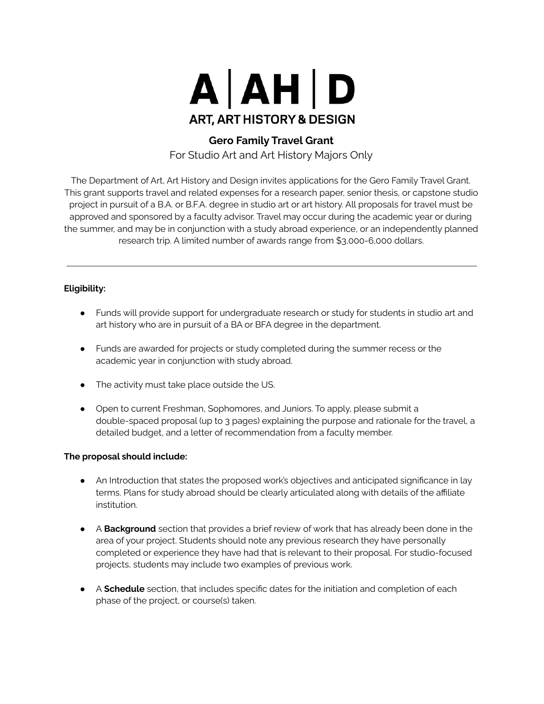

## **Gero Family Travel Grant**

For Studio Art and Art History Majors Only

The Department of Art, Art History and Design invites applications for the Gero Family Travel Grant. This grant supports travel and related expenses for a research paper, senior thesis, or capstone studio project in pursuit of a B.A. or B.F.A. degree in studio art or art history. All proposals for travel must be approved and sponsored by a faculty advisor. Travel may occur during the academic year or during the summer, and may be in conjunction with a study abroad experience, or an independently planned research trip. A limited number of awards range from \$3,000-6,000 dollars.

## **Eligibility:**

- Funds will provide support for undergraduate research or study for students in studio art and art history who are in pursuit of a BA or BFA degree in the department.
- Funds are awarded for projects or study completed during the summer recess or the academic year in conjunction with study abroad.
- The activity must take place outside the US.
- Open to current Freshman, Sophomores, and Juniors. To apply, please submit a double-spaced proposal (up to 3 pages) explaining the purpose and rationale for the travel, a detailed budget, and a letter of recommendation from a faculty member.

## **The proposal should include:**

- An Introduction that states the proposed work's objectives and anticipated significance in lay terms. Plans for study abroad should be clearly articulated along with details of the affiliate institution.
- A **Background** section that provides a brief review of work that has already been done in the area of your project. Students should note any previous research they have personally completed or experience they have had that is relevant to their proposal. For studio-focused projects, students may include two examples of previous work.
- A **Schedule** section, that includes specific dates for the initiation and completion of each phase of the project, or course(s) taken.